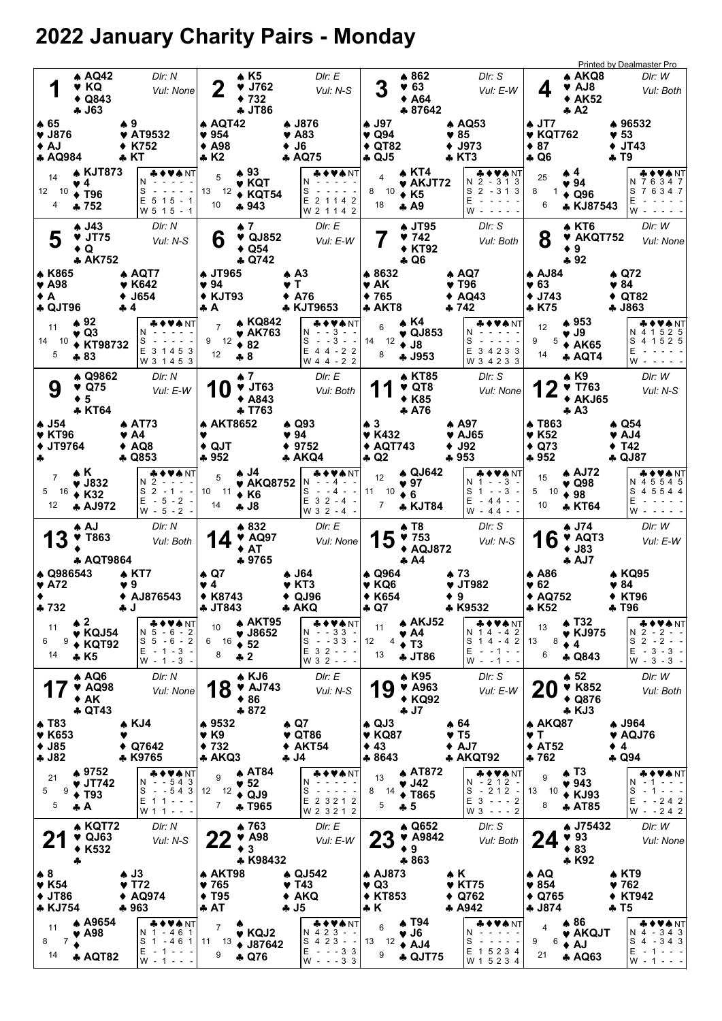## 2022 January Charity Pairs - Monday

|                        | 1                                                    | <b>A AQ42</b><br>♥ KQ<br>$\triangle$ Q843<br>$-163$                                |                                                  | Dir: N<br>Vul: None                                                                   | $\mathbf 2$                                                                  | * K5<br>$\blacktriangledown$ J762<br>$*732$<br><b>4 JT86</b>     | DIr: E<br>Vul: N-S                                                                                     | 3                                                              | ▲ 862<br>963<br>$*$ A64<br>♣ 87642                                                      | DIr: S<br>Vul: E-W                                                                  | 4                                                                          | A AKQ8<br>♥ AJ8<br>$* AK52$<br>$A^2$                                   | <b>Printed by Dealmaster Pro</b><br>DIr: W<br>Vul: Both                                    |
|------------------------|------------------------------------------------------|------------------------------------------------------------------------------------|--------------------------------------------------|---------------------------------------------------------------------------------------|------------------------------------------------------------------------------|------------------------------------------------------------------|--------------------------------------------------------------------------------------------------------|----------------------------------------------------------------|-----------------------------------------------------------------------------------------|-------------------------------------------------------------------------------------|----------------------------------------------------------------------------|------------------------------------------------------------------------|--------------------------------------------------------------------------------------------|
| ♠ 65<br>$\triangle$ AJ | $\blacktriangledown$ J876<br><b>4 AQ984</b>          |                                                                                    | ₩9<br>♥ AT9532<br>K752<br>$\clubsuit$ KT         |                                                                                       | ▲ AQT42<br>954<br>$\triangle$ A98<br>$\clubsuit$ K2                          |                                                                  | ♣ J876<br>♥ A83<br>$+$ J6<br>♣ AQ75                                                                    | ▲ J97<br>♥ Q94<br>$\triangle$ QT82<br>♣ QJ5                    |                                                                                         | $A\text{ AQ53}$<br>$\blacktriangledown 85$<br>$+$ J973<br>♣ KT3                     | $\clubsuit$ JT7<br>$\blacktriangledown$ KQT762<br>$\div$ 87<br><b>4 Q6</b> |                                                                        | ♦ 96532<br>$\blacktriangledown$ 53<br>$+$ JT43<br>♣ T9                                     |
|                        | 14<br>12 10<br>4                                     | <b>A KJT873</b><br>$\vee 4$<br>$\div$ T96<br>$+752$                                | N<br>S<br>$\overline{\phantom{a}}$               | ♣♦♥♠NT<br>$E$ 5 1 5 - 1<br>W 5 1 5 - 1                                                | 5<br>13<br>12<br>10                                                          | $*93$<br>♥ KQT<br>$\triangle$ KQT54<br>♣ 943                     | ╄ ♦ ♥ ♠ NT<br>N<br>S<br>E 2 1 1 4 2<br>W 2 1 1 4 2                                                     | 4<br>10<br>8<br>18                                             | ▲ KT4<br>$\blacktriangleright$ AKJT72<br>◆ K5<br>♣ А9                                   | ♣♦♥♠NT<br>N 2 - 313<br>S<br>$2 - 313$<br>E<br>W                                     | 25<br>8<br>6                                                               | ▲ 4<br>♥ 94<br>$\triangle$ Q96<br>* KJ87543                            | & ♦ ♥★ NT<br>N 7 6 3 4 7<br>S 7 6 3 4 7<br>Е<br>W                                          |
|                        | 5<br><b>A</b> K865                                   | A J43<br>$\blacktriangledown$ JT75<br>$\bullet$ Q<br><b>* AK752</b>                | ♠ AQT7                                           | Dir: N<br>Vul: N-S                                                                    | 6<br><b>4 JT965</b>                                                          | $\spadesuit$ 7<br>♥ QJ852<br>$\triangle$ Q54<br>$\clubsuit$ Q742 | Dir: E<br>Vul: E-W<br>$\clubsuit$ A3                                                                   | ♦ 8632                                                         | <b>4 JT95</b><br>9742<br><b>◆ KT92</b><br>$\clubsuit$ Q6                                | DIr: S<br>Vul: Both<br>$\clubsuit$ AQ7                                              | 8<br><b>AJ84</b>                                                           | A KT6<br>♥ AKQT752<br>9<br>$-92$                                       | DIr: W<br>Vul: None<br>$\clubsuit$ Q72                                                     |
| ◆ A                    | $\blacktriangledown$ A98<br><b>4 QJT96</b>           |                                                                                    | $\blacktriangledown$ K642<br><b>J654</b><br>♣ 4  |                                                                                       | $\blacktriangledown 94$<br>$\blacklozenge$ KJT93<br>÷ A                      |                                                                  | v T<br>$+$ A76<br>♣ KJT9653                                                                            | $\blacktriangledown$ AK<br>♦ 765<br>$*$ AKT8                   |                                                                                         | $\blacktriangledown$ T96<br>AQ43<br>♣ 742                                           | $\blacktriangledown 63$<br>♦ J743<br>* K75                                 |                                                                        | $\blacktriangledown 84$<br>$\triangle$ QT82<br><b>4 J863</b>                               |
| 14                     | 11<br>-10<br>5                                       | ▲ 92<br>$\vee$ Q3<br>◆ KT98732<br>♣ 83                                             | N<br>S                                           | E 3 1 4 5 3<br>W 3 1 4 5 3                                                            | 9<br>12<br>12                                                                | ▲ KQ842<br>♥ AK763<br>$\div 82$<br>♣8                            | VA NT<br>$- - 3 - -$<br>N<br>$- - 3$<br>S<br>$\sim$ $\sim$<br>E 4 4 - 2 2<br>W 4 4 - 2 2               | 6<br>14 12<br>8                                                | ▲ K4<br>$\blacktriangledown$ QJ853<br>$\triangleleft$ J8<br><b>4 J953</b>               | N<br>S<br>$\overline{\phantom{a}}$<br>Е<br>3 4 2 3 3<br>W 3 4 2 3 3                 | 12<br>9<br>14                                                              | ▲ 953<br>v J9<br>$5 \triangleleft$ AK65<br>* AQT4                      | VANT<br>N 4 1 5 2 5<br>S 4 1 5 2 5<br>Ε<br>$W -$                                           |
|                        | 9                                                    | A Q9862<br>$\blacktriangledown$ Q75<br>$\div$ 5<br><b>* KT64</b>                   |                                                  | Dir: N<br>Vul: E-W                                                                    | U                                                                            | ▲ 7<br>$\blacktriangledown$ JT63<br>◆ A843<br>♣ T763             | Dir: E<br>Vul: Both                                                                                    |                                                                | ▲ KT85<br>$\triangledown$ QT8<br><b>◆ K85</b><br>A76                                    | DIr: S<br>Vul: None                                                                 |                                                                            | ▲ K9<br>$\times$ T763<br><b>AKJ65</b><br>٠<br>$\clubsuit$ A3           | DIr: W<br>Vul: N-S                                                                         |
| 4                      | ♠ J54<br><b>V KT96</b><br><b>◆ JT9764</b>            |                                                                                    | <b>AT73</b><br>♥ A4<br>$\triangle$ AQ8<br>♣ Q853 | Y                                                                                     | <b>A AKT8652</b><br>$\triangle$ QJT<br>$+952$                                |                                                                  | ♠ Q93<br>♥ 94<br>$* 9752$<br>♣ AKQ4                                                                    | $\clubsuit$ 3<br><b>V</b> K432<br><b>◆ AQT743</b><br>♣ Q2      |                                                                                         | $\spadesuit$ A97<br>$\blacktriangledown$ AJ65<br>$\blacklozenge$ J92<br>♣ 953       | A T863<br>♥ K52<br>$\triangle$ Q73<br>$+952$                               |                                                                        | ♠ Q54<br>V AJ4<br>♦ T42<br><b>4 QJ87</b>                                                   |
| 5                      | $\overline{7}$<br>- 16<br>12                         | АK.<br>$\blacktriangledown$ J832<br>♦ K32<br><b>A AJ972</b>                        | N 2<br>S <sub>2</sub><br>E.                      | ◆♥♠NT<br>- 1<br>$\sim$ $\sim$<br>$-5 - 2 -$<br>$W - 5 - 2 -$                          | 5<br>10<br>- 11<br>14                                                        | A J4<br>♥ AKQ8752<br>$\triangle$ K6<br>♣ J8                      | <b>AVANT</b><br>- 4<br>S<br>$- - 4$<br>$E$ 3 2 - 4<br>W 3 2 - 4 -                                      | 12<br>11<br>10<br>7                                            | ▲ QJ642<br>$\blacktriangledown$ 97<br>6<br><b>* KJT84</b>                               | ◆♥★NT<br>$- - 3$<br>N<br>1<br>S<br>$- 3$<br>-1<br>E<br>$-44 - -$<br>$W - 44 - -$    | 15<br>5<br>-10<br>10                                                       | <b>A AJ72</b><br>♥ Q98<br>$*98$<br><b>* KT64</b>                       | VANT<br>4 5 5 4 5<br>N.<br>4 5 5 4 4<br>S<br>E<br>W                                        |
|                        | 13                                                   | ↑ AJ<br><b>V</b> T863                                                              |                                                  | Dir: N                                                                                |                                                                              | $*832$                                                           | DIr: E                                                                                                 |                                                                | $\clubsuit$ T <sub>8</sub>                                                              | DIr: S                                                                              | 16                                                                         | ♠ J74                                                                  | DIr: W                                                                                     |
|                        |                                                      |                                                                                    |                                                  | Vul: Both                                                                             |                                                                              | $\blacktriangledown$ AQ97<br>$+ AT$                              | Vul: None                                                                                              | 15                                                             | 9753<br>$*$ AQJ872                                                                      | Vul: N-S                                                                            |                                                                            | ♥ AQT3<br>$•$ J83                                                      | Vul: E-W                                                                                   |
|                        | ♦ Q986543<br>$\blacktriangledown$ A72<br>$-732$      | <b>* AQT9864</b>                                                                   | 4 KT7<br>♥ 9<br>♦ AJ876543<br>J,                 |                                                                                       | ♠ Q7<br>♥ 4<br><b>◆ K8743</b><br>♣ JI 843                                    | ♣9765                                                            | ♣ J64<br>$\blacktriangledown$ KT3<br>$\triangle$ QJ96<br>♣ AKQ                                         | ♠ Q964<br>♥ KQ6<br><b>◆ K654</b><br>♣ Q7                       | $\clubsuit$ A4                                                                          | $*73$<br>♥ JT982<br>♦ 9<br>* K9532                                                  | A A86<br>♥ 62<br>◆ AQ752<br>* K52                                          | $A$ AJ7                                                                | ♠ KQ95<br>♥ 84<br><b>◆ KT96</b><br>♣ 196                                                   |
| 6                      | 11<br>9<br>14                                        | $\clubsuit$ 2<br>$\blacktriangledown$ KQJ54<br>$\triangle$ KQT92<br>$\clubsuit$ K5 |                                                  | <b>&amp;♦♥♠</b> NT<br>$N5 - 6 - 2$<br>$S_5 - 6 - 2$<br>$E - 1 - 3 -$<br>$W - 1 - 3 -$ | 10<br>$6 \t 16 \t 52$<br>8                                                   | <b>AKT95</b><br>$\blacktriangledown$ J8652<br>$+2$               | <b>♣♦♥♠</b> NT<br>$N - 33 -$<br>$-33 -$<br>S<br>E 3 2 - - -<br>W 3 2 - - -                             | 11<br>12<br>4<br>13                                            | $\spadesuit$ AKJ52<br>$\blacktriangledown$ A4<br>$\div$ T <sub>3</sub><br><b>4 JT86</b> | ♣♦♥♠NT<br>N 14 - 42<br>S<br>$14 - 42$<br>Е<br>$-1$ - 1 - -<br>$W - -1 - -$          | 13<br>8<br>13<br>6                                                         | <b>4 T32</b><br>♥ KJ975<br>$\bullet$ 4<br><b>4 Q843</b>                | ♣♦♥♠NT <br>$2 - 2 - -$<br>N.<br>$S_2 - 2 - -$<br>$E - 3 - 3 -$<br>$W - 3 - 3 -$            |
|                        |                                                      | $\clubsuit$ AQ6<br>$\blacktriangledown$ AQ98<br>$*AK$                              |                                                  | DIr: N<br>Vul: None                                                                   | 18                                                                           | ↑ KJ6<br>$\blacktriangledown$ AJ743<br>$*86$<br>$-872$           | Dir: E<br>Vul: N-S                                                                                     | 19                                                             | $\triangle$ K95<br>$\blacktriangledown$ A963<br>◆ KQ92<br><b>4J7</b>                    | DIr: S<br>Vul: E-W                                                                  | 20                                                                         | $\clubsuit$ 52<br><b>♥ K852</b><br>◆ Q876<br>$\triangle$ KJ3           | DIr: W<br>Vul: Both                                                                        |
| <b>← J82</b>           | <b>A T83</b><br><b>V</b> K653<br>$•$ J85             | <b>4 QT43</b>                                                                      | ♠ KJ4<br>Q7642<br>* K9765                        |                                                                                       | ♣ 9532<br>$\blacktriangledown$ K9<br>$*732$<br>* AKQ3                        |                                                                  | ♠ Q7<br>$\blacktriangledown$ QT86<br>$\blacklozenge$ AKT54<br><b>4J4</b>                               | $\triangle$ QJ3<br>$\blacktriangledown$ KQ87<br>♦ 43<br>* 8643 |                                                                                         | ♠ 64<br>$\blacktriangledown$ T5<br>$\triangle$ AJ7<br>* AKQT92                      | <b>4 AKQ87</b><br>$\vee$ T<br><b>◆ AT52</b><br>$+762$                      | $\bullet$ 4                                                            | <b>↑ J964</b><br>♥ AQJ76<br>$\clubsuit$ Q94                                                |
| 5                      | 21<br>9<br>5                                         | ♦ 9752<br>♥ JT742<br>$\blacklozenge$ T93<br>÷А                                     | N<br>S                                           | <b>* ◆ ♥ ♠</b> NT<br>$- 543$<br>$- 543$<br>$E$ 11 - - -<br>$W 1 1 - -$                | 9<br>12<br>12<br>$\overline{7}$                                              | <b>AT84</b><br>♥ 52<br>$\triangle$ QJ9<br><b>+ T965</b>          | <b>* ◆ ♥ ♠</b> NT<br>N<br>S<br>$\sim$ $\sim$<br>$\overline{\phantom{a}}$<br>E 2 3 2 1 2<br>W 2 3 2 1 2 | 13<br>8<br>14<br>5                                             | <b>AT872</b><br>$\blacktriangledown$ J42<br><b>◆ T865</b><br>♣ 5                        | ♣♦♥♠NT<br>N - 2 1 2<br>$-212$<br>S<br>$\sim$<br>$E$ 3 - - - 2<br>$W3 - - 2$         | 9<br>13<br>10<br>8                                                         | $\clubsuit$ T <sub>3</sub><br>♥ 943<br>$\triangle$ KJ93<br><b>AT85</b> | ♣♦♥♠NT<br>N<br>S<br>$\sim$ $ \sim$<br>$\overline{\phantom{a}}$<br>Е<br>$-242$<br>$W - 242$ |
|                        |                                                      | <b>* KQT72</b><br>$\blacktriangledown$ QJ63<br>◆ K532<br>4                         |                                                  | DIr: N<br>Vul: N-S                                                                    | <u>ZZ</u>                                                                    | ♦ 763<br>♥ A98<br>$\bullet$ 3<br>* K98432                        | DIr: E<br>Vul: E-W                                                                                     | <b>23</b>                                                      | $\triangle$ Q652<br>$\blacktriangledown$ A9842<br>$\bullet$ 9<br>♣ 863                  | DIr: S<br>Vul: Both                                                                 | 24                                                                         | <b>↑ J75432</b><br>♥ 93<br>$*83$<br>* K92                              | DIr: W<br>Vul: None                                                                        |
| $\clubsuit$ 8          | $\blacktriangledown$ K54<br><b>♦ JT86</b><br>* KJ754 | <b>A</b> A9654                                                                     | $\clubsuit$ J3<br>♥ T72<br>♦ AQ974<br>♣ 963      |                                                                                       | ♠ AKT98<br>$\blacktriangledown 765$<br>$\blacklozenge$ T95<br>$\clubsuit$ AT |                                                                  | ♠ QJ542<br>♥ T43<br>$\triangle$ AKQ<br>÷ J5<br>♣♦♥♠ NT                                                 | ♠ AJ873<br>V Q3<br><b>◆ KT853</b><br>÷ K                       | <b>4 T94</b>                                                                            | $\triangle K$<br>$\blacktriangledown$ KT75<br>$\triangle$ Q762<br>* A942<br>♣♦♥♠ NT | ♠ AQ<br>$\blacktriangledown 854$<br>$\triangle$ Q765<br>♣ J874             | $*86$                                                                  | $\clubsuit$ KT9<br>♥ 762<br><b>◆ KT942</b><br>♣ T5<br>♣♦♥♠ NT                              |